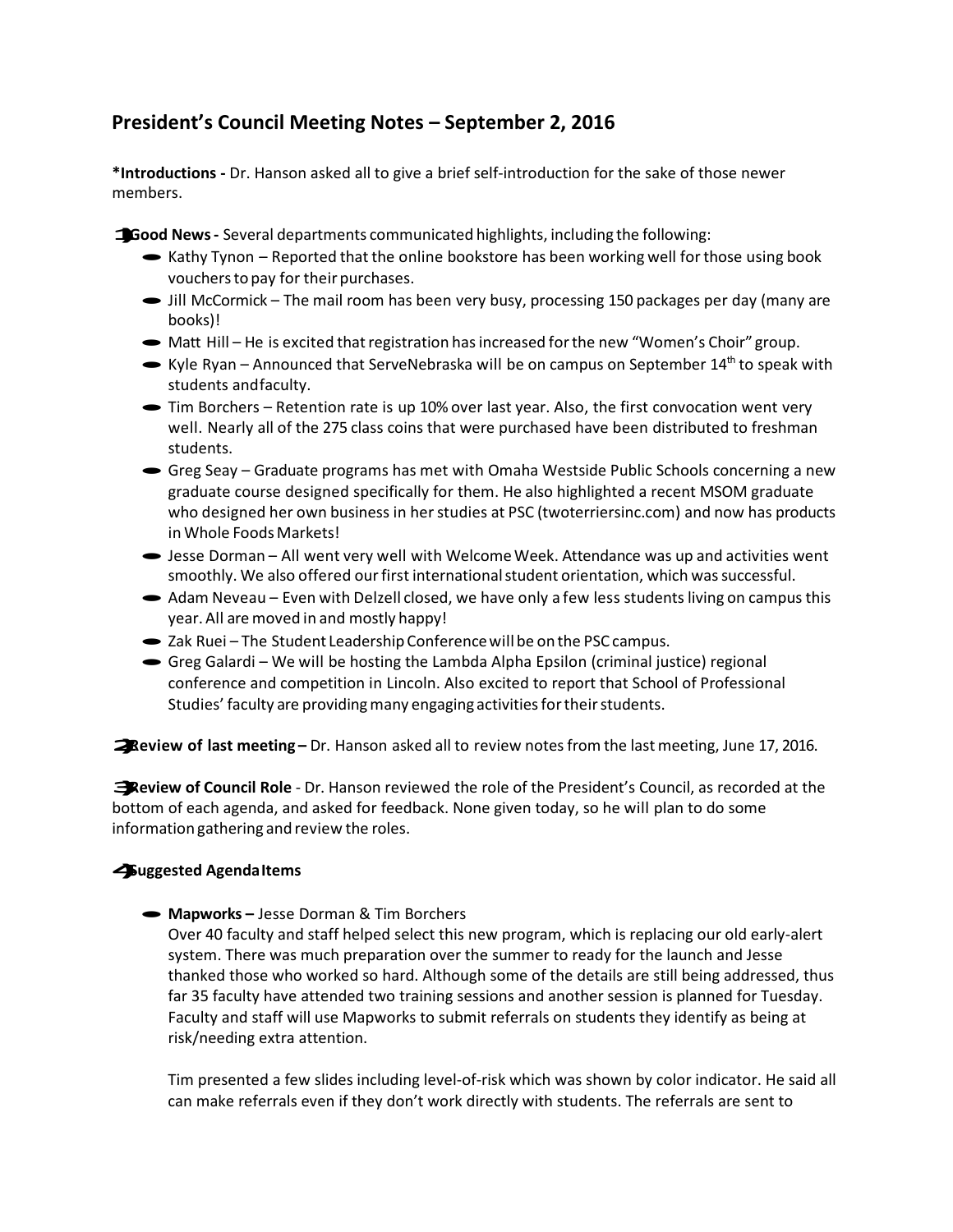# **President's Council Meeting Notes – September 2, 2016**

**\*Introductions -** Dr. Hanson asked all to give a brief self-introduction for the sake of those newer members.

**1)Good News-** Several departments communicated highlights, including the following:

- $\blacktriangleright$  Kathy Tynon Reported that the online bookstore has been working well for those using book vouchersto pay for their purchases.
- Iill McCormick The mail room has been very busy, processing 150 packages per day (many are books)! books)!<br>• Matt Hill – He is excited that registration has increased for the new "Women's Choir" group.
- 
- Matt Hill He is excited that registration has increased for the new "Women's Choir" group.<br>• Kyle Ryan Announced that ServeNebraska will be on campus on September 14<sup>th</sup> to speak with students andfaculty.
- · Tim Borchers Retention rate is up 10% over last year. Also, the first convocation went very well. Nearly all of the 275 class coins that were purchased have been distributed to freshman students.
- ·Greg Seay Graduate programs has met with Omaha Westside Public Schools concerning a new graduate course designed specifically for them. He also highlighted a recent MSOM graduate who designed her own business in her studies at PSC (twoterriersinc.com) and now has products in Whole FoodsMarkets!
- ·Jesse Dorman All went very well with WelcomeWeek. Attendance was up and activities went smoothly. We also offered our first international student orientation, which was successful.
- Adam Neveau Even with Delzell closed, we have only a few less students living on campus this year. All are moved in and mostly happy!
- Zak Ruei The Student Leadership Conference will be on the PSC campus.
- ·Greg Galardi We will be hosting the Lambda Alpha Epsilon (criminal justice) regional conference and competition in Lincoln. Also excited to report that School of Professional Studies' faculty are providing many engaging activities for their students.

**2) <b>2** Review of last meeting – Dr. Hanson asked all to review notes from the last meeting, June 17, 2016.

**3)Review of Council Role** - Dr. Hanson reviewed the role of the President's Council, as recorded at the bottom of each agenda, and asked for feedback. None given today, so he will plan to do some information gathering and review the roles.

## **4)Suggested AgendaItems**

·**Mapworks –** Jesse Dorman & Tim Borchers

Over 40 faculty and staff helped select this new program, which is replacing our old early-alert system. There was much preparation over the summer to ready for the launch and Jesse thanked those who worked so hard. Although some of the details are still being addressed, thus far 35 faculty have attended two training sessions and another session is planned for Tuesday. Faculty and staff will use Mapworks to submit referrals on students they identify as being at risk/needing extra attention.

Tim presented a few slides including level-of-risk which was shown by color indicator. He said all can make referrals even if they don't work directly with students. The referrals are sent to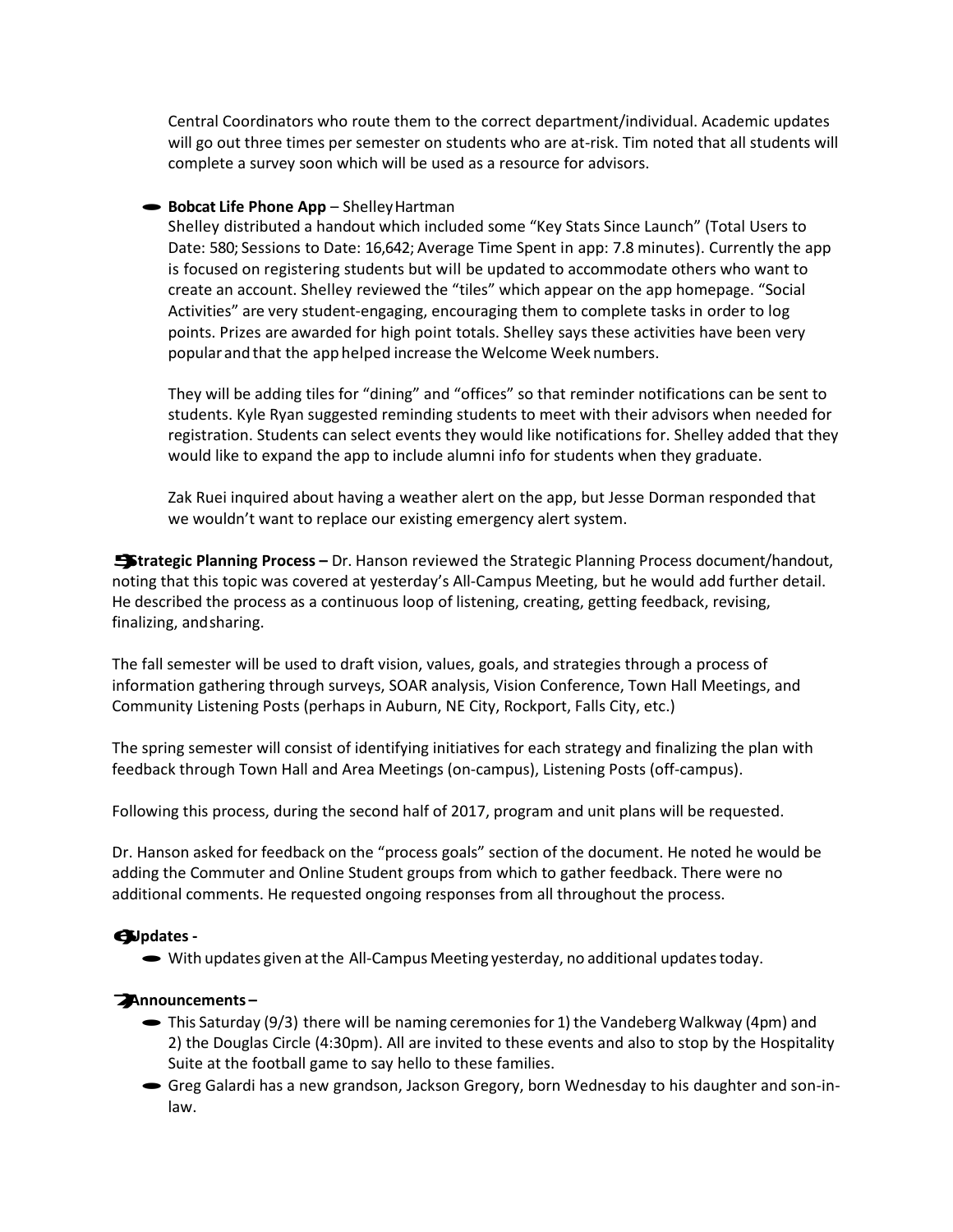Central Coordinators who route them to the correct department/individual. Academic updates will go out three times per semester on students who are at-risk. Tim noted that all students will complete a survey soon which will be used as a resource for advisors.

#### ·**Bobcat Life Phone App** – ShelleyHartman

Shelley distributed a handout which included some "Key Stats Since Launch" (Total Users to Date: 580; Sessions to Date: 16,642; Average Time Spent in app: 7.8 minutes). Currently the app is focused on registering students but will be updated to accommodate others who want to create an account. Shelley reviewed the "tiles" which appear on the app homepage. "Social Activities" are very student-engaging, encouraging them to complete tasks in order to log points. Prizes are awarded for high point totals. Shelley says these activities have been very popular and that the app helped increase the Welcome Week numbers.

They will be adding tiles for "dining" and "offices" so that reminder notifications can be sent to students. Kyle Ryan suggested reminding students to meet with their advisors when needed for registration. Students can select events they would like notifications for. Shelley added that they would like to expand the app to include alumni info for students when they graduate.

Zak Ruei inquired about having a weather alert on the app, but Jesse Dorman responded that we wouldn't want to replace our existing emergency alert system.

**5)Strategic Planning Process –** Dr. Hanson reviewed the Strategic Planning Process document/handout, noting that this topic was covered at yesterday's All-Campus Meeting, but he would add further detail. He described the process as a continuous loop of listening, creating, getting feedback, revising, finalizing, andsharing.

The fall semester will be used to draft vision, values, goals, and strategies through a process of information gathering through surveys, SOAR analysis, Vision Conference, Town Hall Meetings, and Community Listening Posts (perhaps in Auburn, NE City, Rockport, Falls City, etc.)

The spring semester will consist of identifying initiatives for each strategy and finalizing the plan with feedback through Town Hall and Area Meetings (on-campus), Listening Posts (off-campus).

Following this process, during the second half of 2017, program and unit plans will be requested.

Dr. Hanson asked for feedback on the "process goals" section of the document. He noted he would be adding the Commuter and Online Student groups from which to gather feedback. There were no additional comments. He requested ongoing responses from all throughout the process.

#### **6)Updates -**

• With updates given at the All-Campus Meeting yesterday, no additional updates today.

### **7)Announcements –**

- $\blacktriangleright$  This Saturday (9/3) there will be naming ceremonies for 1) the Vandeberg Walkway (4pm) and 2) the Douglas Circle (4:30pm). All are invited to these events and also to stop by the Hospitality Suite at the football game to say hello to these families.
- ·Greg Galardi has a new grandson, Jackson Gregory, born Wednesday to his daughter and son-inlaw.